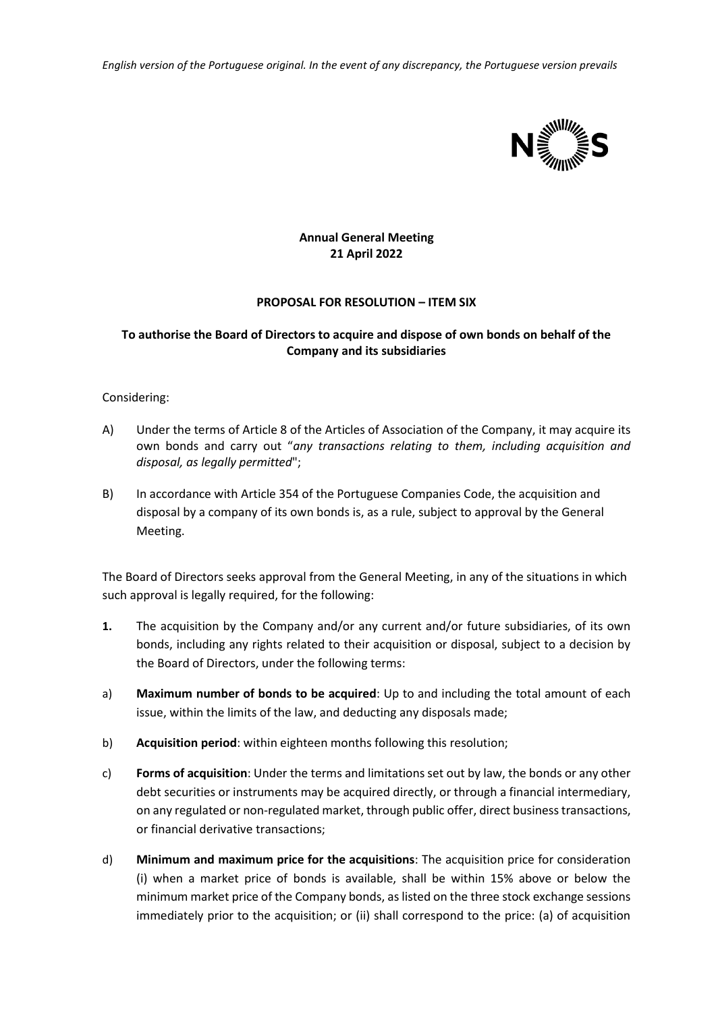*English version of the Portuguese original. In the event of any discrepancy, the Portuguese version prevails*



## **Annual General Meeting 21 April 2022**

## **PROPOSAL FOR RESOLUTION – ITEM SIX**

## **To authorise the Board of Directors to acquire and dispose of own bonds on behalf of the Company and its subsidiaries**

## Considering:

- A) Under the terms of Article 8 of the Articles of Association of the Company, it may acquire its own bonds and carry out "*any transactions relating to them, including acquisition and disposal, as legally permitted*";
- B) In accordance with Article 354 of the Portuguese Companies Code, the acquisition and disposal by a company of its own bonds is, as a rule, subject to approval by the General Meeting.

The Board of Directors seeks approval from the General Meeting, in any of the situations in which such approval is legally required, for the following:

- **1.** The acquisition by the Company and/or any current and/or future subsidiaries, of its own bonds, including any rights related to their acquisition or disposal, subject to a decision by the Board of Directors, under the following terms:
- a) **Maximum number of bonds to be acquired**: Up to and including the total amount of each issue, within the limits of the law, and deducting any disposals made;
- b) **Acquisition period**: within eighteen months following this resolution;
- c) **Forms of acquisition**: Under the terms and limitations set out by law, the bonds or any other debt securities or instruments may be acquired directly, or through a financial intermediary, on any regulated or non-regulated market, through public offer, direct business transactions, or financial derivative transactions;
- d) **Minimum and maximum price for the acquisitions**: The acquisition price for consideration (i) when a market price of bonds is available, shall be within 15% above or below the minimum market price of the Company bonds, as listed on the three stock exchange sessions immediately prior to the acquisition; or (ii) shall correspond to the price: (a) of acquisition